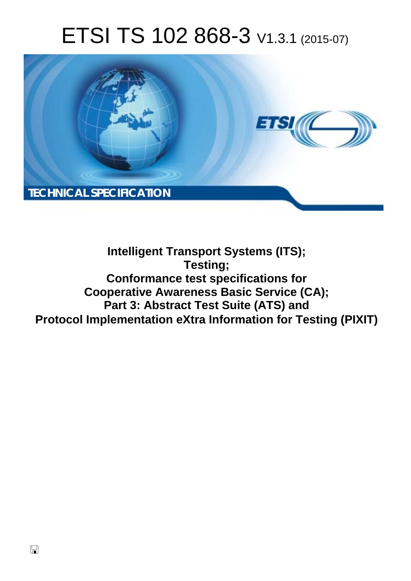# ETSI TS 102 868-3 V1.3.1 (2015-07)



### **Intelligent Transport Systems (ITS); Testing; Conformance test specifications for Cooperative Awareness Basic Service (CA); Part 3: Abstract Test Suite (ATS) and Protocol Implementation eXtra Information for Testing (PIXIT)**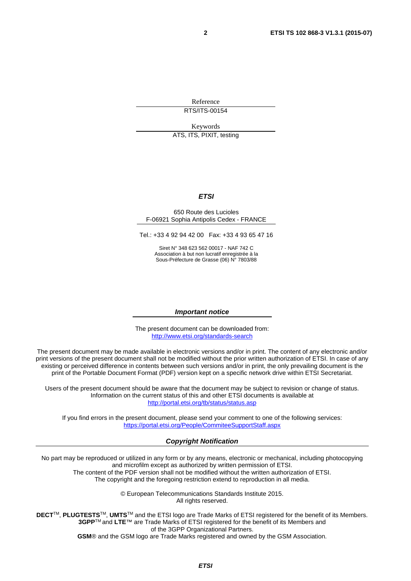Reference RTS/ITS-00154

Keywords

ATS, ITS, PIXIT, testing

#### *ETSI*

#### 650 Route des Lucioles F-06921 Sophia Antipolis Cedex - FRANCE

Tel.: +33 4 92 94 42 00 Fax: +33 4 93 65 47 16

Siret N° 348 623 562 00017 - NAF 742 C Association à but non lucratif enregistrée à la Sous-Préfecture de Grasse (06) N° 7803/88

#### *Important notice*

The present document can be downloaded from: <http://www.etsi.org/standards-search>

The present document may be made available in electronic versions and/or in print. The content of any electronic and/or print versions of the present document shall not be modified without the prior written authorization of ETSI. In case of any existing or perceived difference in contents between such versions and/or in print, the only prevailing document is the print of the Portable Document Format (PDF) version kept on a specific network drive within ETSI Secretariat.

Users of the present document should be aware that the document may be subject to revision or change of status. Information on the current status of this and other ETSI documents is available at <http://portal.etsi.org/tb/status/status.asp>

If you find errors in the present document, please send your comment to one of the following services: <https://portal.etsi.org/People/CommiteeSupportStaff.aspx>

#### *Copyright Notification*

No part may be reproduced or utilized in any form or by any means, electronic or mechanical, including photocopying and microfilm except as authorized by written permission of ETSI.

The content of the PDF version shall not be modified without the written authorization of ETSI. The copyright and the foregoing restriction extend to reproduction in all media.

> © European Telecommunications Standards Institute 2015. All rights reserved.

**DECT**TM, **PLUGTESTS**TM, **UMTS**TM and the ETSI logo are Trade Marks of ETSI registered for the benefit of its Members. **3GPP**TM and **LTE**™ are Trade Marks of ETSI registered for the benefit of its Members and of the 3GPP Organizational Partners.

**GSM**® and the GSM logo are Trade Marks registered and owned by the GSM Association.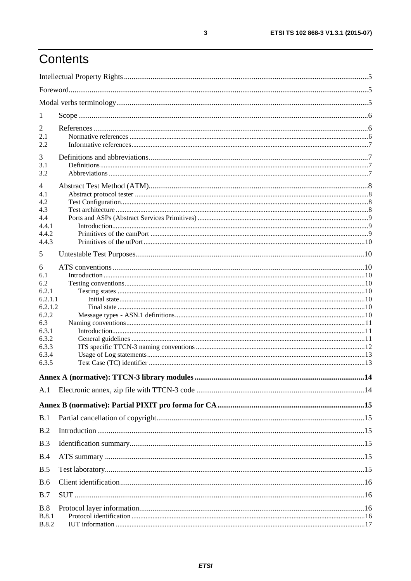## Contents

| 1                  |  |
|--------------------|--|
| $\overline{2}$     |  |
| 2.1                |  |
| 2.2                |  |
| 3                  |  |
| 3.1                |  |
| 3.2                |  |
| $\overline{4}$     |  |
| 4.1                |  |
| 4.2                |  |
| 4.3                |  |
| 4.4                |  |
| 4.4.1              |  |
| 4.4.2              |  |
| 4.4.3              |  |
| 5                  |  |
| 6                  |  |
| 6.1                |  |
| 6.2                |  |
| 6.2.1              |  |
| 6.2.1.1<br>6.2.1.2 |  |
| 6.2.2              |  |
| 6.3                |  |
| 6.3.1              |  |
| 6.3.2              |  |
| 6.3.3              |  |
| 6.3.4              |  |
| 6.3.5              |  |
|                    |  |
| A.1                |  |
|                    |  |
| B.1                |  |
| B.2                |  |
| B.3                |  |
|                    |  |
| B.4                |  |
| B.5                |  |
| <b>B.6</b>         |  |
| B.7                |  |
| B.8                |  |
| <b>B.8.1</b>       |  |
| <b>B.8.2</b>       |  |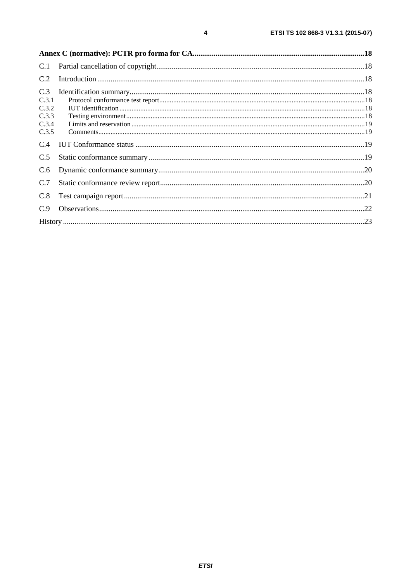| C.1                     |  |
|-------------------------|--|
| C.2                     |  |
| C.3<br>C.3.1<br>C.3.2   |  |
| C.3.3<br>C.3.4<br>C.3.5 |  |
| C.4                     |  |
| C.5                     |  |
| C.6                     |  |
| C.7                     |  |
| C.8                     |  |
| C.9                     |  |
|                         |  |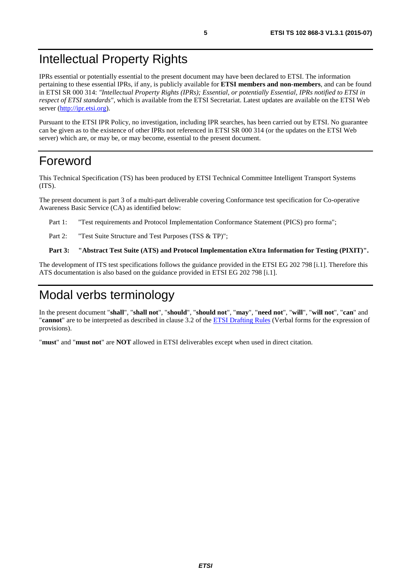### <span id="page-4-0"></span>Intellectual Property Rights

IPRs essential or potentially essential to the present document may have been declared to ETSI. The information pertaining to these essential IPRs, if any, is publicly available for **ETSI members and non-members**, and can be found in ETSI SR 000 314: *"Intellectual Property Rights (IPRs); Essential, or potentially Essential, IPRs notified to ETSI in respect of ETSI standards"*, which is available from the ETSI Secretariat. Latest updates are available on the ETSI Web server ([http://ipr.etsi.org\)](http://webapp.etsi.org/IPR/home.asp).

Pursuant to the ETSI IPR Policy, no investigation, including IPR searches, has been carried out by ETSI. No guarantee can be given as to the existence of other IPRs not referenced in ETSI SR 000 314 (or the updates on the ETSI Web server) which are, or may be, or may become, essential to the present document.

### Foreword

This Technical Specification (TS) has been produced by ETSI Technical Committee Intelligent Transport Systems (ITS).

The present document is part 3 of a multi-part deliverable covering Conformance test specification for Co-operative Awareness Basic Service (CA) as identified below:

Part 1: "Test requirements and Protocol Implementation Conformance Statement (PICS) pro forma";

Part 2: "Test Suite Structure and Test Purposes (TSS & TP)";

#### **Part 3: "Abstract Test Suite (ATS) and Protocol Implementation eXtra Information for Testing (PIXIT)".**

The development of ITS test specifications follows the guidance provided in the ETSI EG 202 798 [[i.1\]](#page-6-0). Therefore this ATS documentation is also based on the guidance provided in ETSI EG 202 798 [\[i.1](#page-6-0)].

### Modal verbs terminology

In the present document "**shall**", "**shall not**", "**should**", "**should not**", "**may**", "**need not**", "**will**", "**will not**", "**can**" and "**cannot**" are to be interpreted as described in clause 3.2 of the [ETSI Drafting Rules](http://portal.etsi.org/Help/editHelp!/Howtostart/ETSIDraftingRules.aspx) (Verbal forms for the expression of provisions).

"**must**" and "**must not**" are **NOT** allowed in ETSI deliverables except when used in direct citation.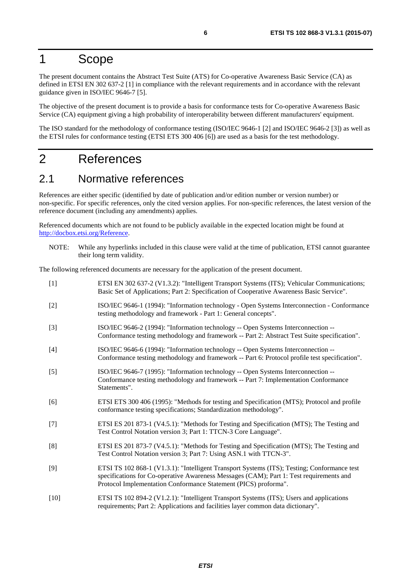### <span id="page-5-0"></span>1 Scope

The present document contains the Abstract Test Suite (ATS) for Co-operative Awareness Basic Service (CA) as defined in ETSI EN 302 637-2 [1] in compliance with the relevant requirements and in accordance with the relevant guidance given in ISO/IEC 9646-7 [5].

The objective of the present document is to provide a basis for conformance tests for Co-operative Awareness Basic Service (CA) equipment giving a high probability of interoperability between different manufacturers' equipment.

The ISO standard for the methodology of conformance testing (ISO/IEC 9646-1 [2] and ISO/IEC 9646-2 [3]) as well as the ETSI rules for conformance testing (ETSI ETS 300 406 [6]) are used as a basis for the test methodology.

### 2 References

### 2.1 Normative references

References are either specific (identified by date of publication and/or edition number or version number) or non-specific. For specific references, only the cited version applies. For non-specific references, the latest version of the reference document (including any amendments) applies.

Referenced documents which are not found to be publicly available in the expected location might be found at [http://docbox.etsi.org/Reference.](http://docbox.etsi.org/Reference)

NOTE: While any hyperlinks included in this clause were valid at the time of publication, ETSI cannot guarantee their long term validity.

The following referenced documents are necessary for the application of the present document.

| $[1]$  | ETSI EN 302 637-2 (V1.3.2): "Intelligent Transport Systems (ITS); Vehicular Communications;<br>Basic Set of Applications; Part 2: Specification of Cooperative Awareness Basic Service".                                                                  |
|--------|-----------------------------------------------------------------------------------------------------------------------------------------------------------------------------------------------------------------------------------------------------------|
| $[2]$  | ISO/IEC 9646-1 (1994): "Information technology - Open Systems Interconnection - Conformance<br>testing methodology and framework - Part 1: General concepts".                                                                                             |
| $[3]$  | ISO/IEC 9646-2 (1994): "Information technology -- Open Systems Interconnection --<br>Conformance testing methodology and framework -- Part 2: Abstract Test Suite specification".                                                                         |
| $[4]$  | ISO/IEC 9646-6 (1994): "Information technology -- Open Systems Interconnection --<br>Conformance testing methodology and framework -- Part 6: Protocol profile test specification".                                                                       |
| $[5]$  | ISO/IEC 9646-7 (1995): "Information technology -- Open Systems Interconnection --<br>Conformance testing methodology and framework -- Part 7: Implementation Conformance<br>Statements".                                                                  |
| [6]    | ETSI ETS 300 406 (1995): "Methods for testing and Specification (MTS); Protocol and profile<br>conformance testing specifications; Standardization methodology".                                                                                          |
| $[7]$  | ETSI ES 201 873-1 (V4.5.1): "Methods for Testing and Specification (MTS); The Testing and<br>Test Control Notation version 3; Part 1: TTCN-3 Core Language".                                                                                              |
| [8]    | ETSI ES 201 873-7 (V4.5.1): "Methods for Testing and Specification (MTS); The Testing and<br>Test Control Notation version 3; Part 7: Using ASN.1 with TTCN-3".                                                                                           |
| [9]    | ETSI TS 102 868-1 (V1.3.1): "Intelligent Transport Systems (ITS); Testing; Conformance test<br>specifications for Co-operative Awareness Messages (CAM); Part 1: Test requirements and<br>Protocol Implementation Conformance Statement (PICS) proforma". |
| $[10]$ | ETSI TS 102 894-2 (V1.2.1): "Intelligent Transport Systems (ITS); Users and applications<br>requirements; Part 2: Applications and facilities layer common data dictionary".                                                                              |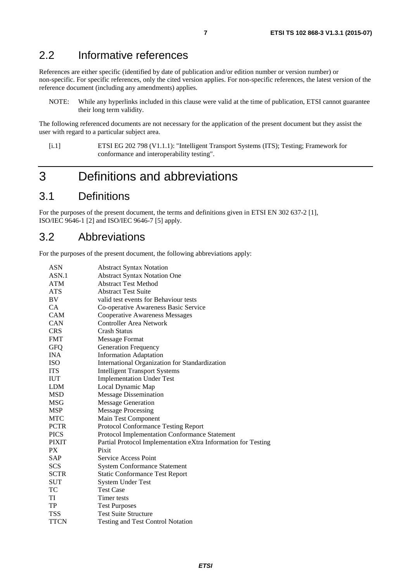### <span id="page-6-0"></span>2.2 Informative references

References are either specific (identified by date of publication and/or edition number or version number) or non-specific. For specific references, only the cited version applies. For non-specific references, the latest version of the reference document (including any amendments) applies.

NOTE: While any hyperlinks included in this clause were valid at the time of publication, ETSI cannot guarantee their long term validity.

The following referenced documents are not necessary for the application of the present document but they assist the user with regard to a particular subject area.

[i.1] ETSI EG 202 798 (V1.1.1): "Intelligent Transport Systems (ITS); Testing; Framework for conformance and interoperability testing".

### 3 Definitions and abbreviations

### 3.1 Definitions

For the purposes of the present document, the terms and definitions given in ETSI EN 302 637-2 [[1\]](#page-5-0), ISO/IEC 9646-1 [[2](#page-5-0)] and ISO/IEC 9646-7 [[5\]](#page-5-0) apply.

### 3.2 Abbreviations

For the purposes of the present document, the following abbreviations apply:

| <b>ASN</b>   | <b>Abstract Syntax Notation</b>                               |
|--------------|---------------------------------------------------------------|
| ASN.1        | <b>Abstract Syntax Notation One</b>                           |
| <b>ATM</b>   | <b>Abstract Test Method</b>                                   |
| <b>ATS</b>   | <b>Abstract Test Suite</b>                                    |
| BV           | valid test events for Behaviour tests                         |
| CA           | Co-operative Awareness Basic Service                          |
| <b>CAM</b>   | <b>Cooperative Awareness Messages</b>                         |
| <b>CAN</b>   | <b>Controller Area Network</b>                                |
| <b>CRS</b>   | <b>Crash Status</b>                                           |
| <b>FMT</b>   | <b>Message Format</b>                                         |
| <b>GFQ</b>   | <b>Generation Frequency</b>                                   |
| <b>INA</b>   | <b>Information Adaptation</b>                                 |
| <b>ISO</b>   | International Organization for Standardization                |
| <b>ITS</b>   | <b>Intelligent Transport Systems</b>                          |
| <b>IUT</b>   | <b>Implementation Under Test</b>                              |
| <b>LDM</b>   | Local Dynamic Map                                             |
| <b>MSD</b>   | <b>Message Dissemination</b>                                  |
| MSG          | <b>Message Generation</b>                                     |
| <b>MSP</b>   | <b>Message Processing</b>                                     |
| <b>MTC</b>   | Main Test Component                                           |
| <b>PCTR</b>  | Protocol Conformance Testing Report                           |
| <b>PICS</b>  | Protocol Implementation Conformance Statement                 |
| <b>PIXIT</b> | Partial Protocol Implementation eXtra Information for Testing |
| <b>PX</b>    | Pixit                                                         |
| <b>SAP</b>   | Service Access Point                                          |
| <b>SCS</b>   | <b>System Conformance Statement</b>                           |
| <b>SCTR</b>  | <b>Static Conformance Test Report</b>                         |
| <b>SUT</b>   | System Under Test                                             |
| TC           | <b>Test Case</b>                                              |
| TI           | Timer tests                                                   |
| TP           | <b>Test Purposes</b>                                          |
| <b>TSS</b>   | <b>Test Suite Structure</b>                                   |
| TTCN         | <b>Testing and Test Control Notation</b>                      |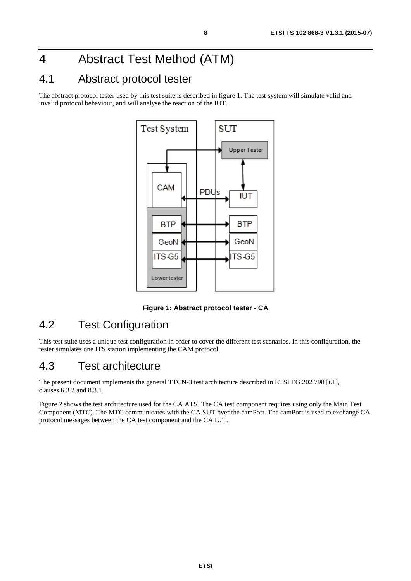## <span id="page-7-0"></span>4 Abstract Test Method (ATM)

### 4.1 Abstract protocol tester

The abstract protocol tester used by this test suite is described in figure 1. The test system will simulate valid and invalid protocol behaviour, and will analyse the reaction of the IUT.



**Figure 1: Abstract protocol tester - CA** 

### 4.2 Test Configuration

This test suite uses a unique test configuration in order to cover the different test scenarios. In this configuration, the tester simulates one ITS station implementing the CAM protocol.

### 4.3 Test architecture

The present document implements the general TTCN-3 test architecture described in ETSI EG 202 798 [[i.1\]](#page-6-0), clauses 6.3.2 and 8.3.1.

Figure 2 shows the test architecture used for the CA ATS. The CA test component requires using only the Main Test Component (MTC). The MTC communicates with the CA SUT over the camPort. The camPort is used to exchange CA protocol messages between the CA test component and the CA IUT.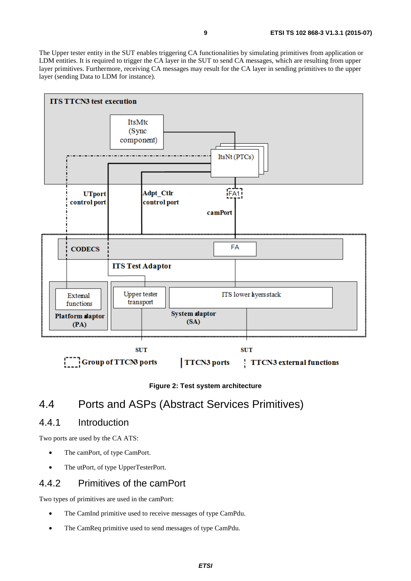<span id="page-8-0"></span>The Upper tester entity in the SUT enables triggering CA functionalities by simulating primitives from application or LDM entities. It is required to trigger the CA layer in the SUT to send CA messages, which are resulting from upper layer primitives. Furthermore, receiving CA messages may result for the CA layer in sending primitives to the upper layer (sending Data to LDM for instance).



**Figure 2: Test system architecture** 

### 4.4 Ports and ASPs (Abstract Services Primitives)

### 4.4.1 Introduction

Two ports are used by the CA ATS:

- The camPort, of type CamPort.
- The utPort, of type UpperTesterPort.

### 4.4.2 Primitives of the camPort

Two types of primitives are used in the camPort:

- The CamInd primitive used to receive messages of type CamPdu.
- The CamReq primitive used to send messages of type CamPdu.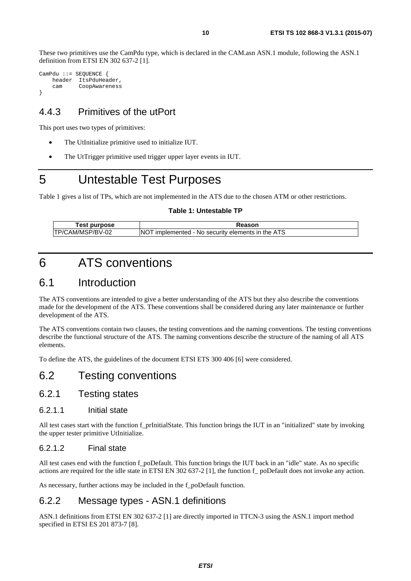<span id="page-9-0"></span>These two primitives use the CamPdu type, which is declared in the CAM.asn ASN.1 module, following the ASN.1 definition from ETSI EN 302 637-2 [\[1](#page-5-0)].

CamPdu ::= SEQUENCE { header ItsPduHeader, cam CoopAwareness }

### 4.4.3 Primitives of the utPort

This port uses two types of primitives:

- The UtInitialize primitive used to initialize IUT.
- The UtTrigger primitive used trigger upper layer events in IUT.

### 5 Untestable Test Purposes

Table 1 gives a list of TPs, which are not implemented in the ATS due to the chosen ATM or other restrictions.

#### **Table 1: Untestable TP**

| Геst<br>purpose   | Reason                                                          |
|-------------------|-----------------------------------------------------------------|
| ITP/CAM/MSP/BV-02 | 1 - No security elements in the ATS<br><b>NO</b><br>implemented |

## 6 ATS conventions

### 6.1 Introduction

The ATS conventions are intended to give a better understanding of the ATS but they also describe the conventions made for the development of the ATS. These conventions shall be considered during any later maintenance or further development of the ATS.

The ATS conventions contain two clauses, the testing conventions and the naming conventions. The testing conventions describe the functional structure of the ATS. The naming conventions describe the structure of the naming of all ATS elements.

To define the ATS, the guidelines of the document ETSI ETS 300 406 [[6](#page-5-0)] were considered.

### 6.2 Testing conventions

### 6.2.1 Testing states

#### 6.2.1.1 Initial state

All test cases start with the function f\_prInitialState. This function brings the IUT in an "initialized" state by invoking the upper tester primitive UtInitialize.

#### 6.2.1.2 Final state

All test cases end with the function f\_poDefault. This function brings the IUT back in an "idle" state. As no specific actions are required for the idle state in ETSI EN 302 637-2 [[1](#page-5-0)], the function f\_ poDefault does not invoke any action.

As necessary, further actions may be included in the f\_poDefault function.

### 6.2.2 Message types - ASN.1 definitions

ASN.1 definitions from ETSI EN 302 637-2 [[1\]](#page-5-0) are directly imported in TTCN-3 using the ASN.1 import method specified in ETSI ES 201 873-7 [[8](#page-5-0)].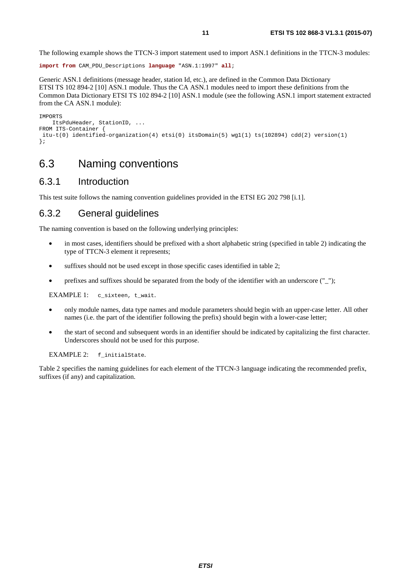<span id="page-10-0"></span>The following example shows the TTCN-3 import statement used to import ASN.1 definitions in the TTCN-3 modules:

```
import from CAM_PDU_Descriptions language "ASN.1:1997" all;
```
Generic ASN.1 definitions (message header, station Id, etc.), are defined in the Common Data Dictionary ETSI TS 102 894-2 [\[10](#page-5-0)] ASN.1 module. Thus the CA ASN.1 modules need to import these definitions from the Common Data Dictionary ETSI TS 102 894-2 [\[10\]](#page-5-0) ASN.1 module (see the following ASN.1 import statement extracted from the CA ASN.1 module):

```
IMPORTS 
    ItsPduHeader, StationID, ... 
FROM ITS-Container { 
  itu-t(0) identified-organization(4) etsi(0) itsDomain(5) wg1(1) ts(102894) cdd(2) version(1) 
};
```
### 6.3 Naming conventions

#### 6.3.1 Introduction

This test suite follows the naming convention guidelines provided in the ETSI EG 202 798 [[i.1](#page-6-0)].

### 6.3.2 General guidelines

The naming convention is based on the following underlying principles:

- in most cases, identifiers should be prefixed with a short alphabetic string (specified in table [2](#page-11-0)) indicating the type of TTCN-3 element it represents;
- suffixes should not be used except in those specific cases identified in table 2;
- prefixes and suffixes should be separated from the body of the identifier with an underscore ("\_");

EXAMPLE 1: c\_sixteen, t\_wait.

- only module names, data type names and module parameters should begin with an upper-case letter. All other names (i.e. the part of the identifier following the prefix) should begin with a lower-case letter;
- the start of second and subsequent words in an identifier should be indicated by capitalizing the first character. Underscores should not be used for this purpose.

EXAMPLE 2: f\_initialState.

Table [2](#page-11-0) specifies the naming guidelines for each element of the TTCN-3 language indicating the recommended prefix, suffixes (if any) and capitalization.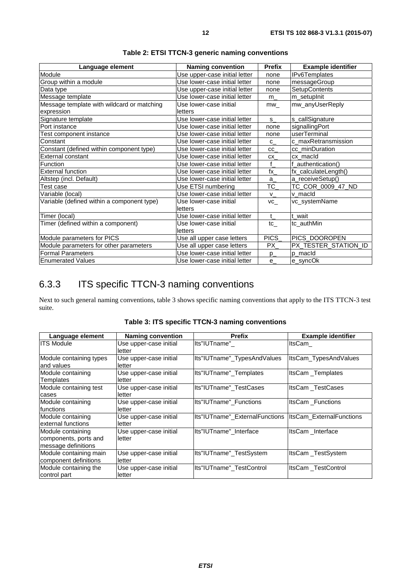<span id="page-11-0"></span>

| Language element                           | <b>Naming convention</b>      | <b>Prefix</b>   | <b>Example identifier</b> |
|--------------------------------------------|-------------------------------|-----------------|---------------------------|
| Module                                     | Use upper-case initial letter | none            | <b>IPv6Templates</b>      |
| Group within a module                      | Use lower-case initial letter | none            | messageGroup              |
| Data type                                  | Use upper-case initial letter | none            | SetupContents             |
| Message template                           | Use lower-case initial letter | $m_{-}$         | m_setupInit               |
| Message template with wildcard or matching | Use lower-case initial        | mw              | mw_anyUserReply           |
| expression                                 | letters                       |                 |                           |
| Signature template                         | Use lower-case initial letter | s               | s_callSignature           |
| Port instance                              | Use lower-case initial letter | none            | signallingPort            |
| Test component instance                    | Use lower-case initial letter | none            | userTerminal              |
| Constant                                   | Use lower-case initial letter | $C_{-}$         | c_maxRetransmission       |
| Constant (defined within component type)   | Use lower-case initial letter | <b>CC</b>       | cc_minDuration            |
| External constant                          | Use lower-case initial letter | CX              | cx macld                  |
| Function                                   | Use lower-case initial letter | f               | f authentication()        |
| <b>External function</b>                   | Use lower-case initial letter | $\mathsf{tx}\_$ | fx_calculateLength()      |
| Altstep (incl. Default)                    | Use lower-case initial letter | a               | a_receiveSetup()          |
| Test case                                  | Use ETSI numbering            | TC              | TC_COR_0009_47_ND         |
| Variable (local)                           | Use lower-case initial letter | $V_{-}$         | v macld                   |
| Variable (defined within a component type) | Use lower-case initial        | VC              | vc_systemName             |
|                                            | letters                       |                 |                           |
| Timer (local)                              | Use lower-case initial letter | $\mathbf{t}$    | t wait                    |
| Timer (defined within a component)         | Use lower-case initial        | tc              | tc_authMin                |
|                                            | letters                       |                 |                           |
| Module parameters for PICS                 | Use all upper case letters    | PICS            | PICS_DOOROPEN             |
| Module parameters for other parameters     | Use all upper case letters    | PX_             | PX_TESTER_STATION_ID      |
| <b>Formal Parameters</b>                   | Use lower-case initial letter | $p_{-}$         | p_macId                   |
| <b>Enumerated Values</b>                   | Use lower-case initial letter | $e_{-}$         | e_syncOk                  |

**Table 2: ETSI TTCN-3 generic naming conventions** 

### 6.3.3 ITS specific TTCN-3 naming conventions

Next to such general naming conventions, table 3 shows specific naming conventions that apply to the ITS TTCN-3 test suite.

| Language element        | <b>Naming convention</b> | <b>Prefix</b>                                            | <b>Example identifier</b> |
|-------------------------|--------------------------|----------------------------------------------------------|---------------------------|
| <b>ITS Module</b>       | Use upper-case initial   | Its"IUTname"                                             | ItsCam                    |
|                         | letter                   |                                                          |                           |
| Module containing types | Use upper-case initial   | Its"IUTname"_TypesAndValues                              | ItsCam_TypesAndValues     |
| and values              | letter                   |                                                          |                           |
| Module containing       | Use upper-case initial   | Its"IUTname"_Templates                                   | <b>ItsCam Templates</b>   |
| Templates               | letter                   |                                                          |                           |
| Module containing test  | Use upper-case initial   | Its"IUTname" TestCases                                   | ItsCam TestCases          |
| cases                   | letter                   |                                                          |                           |
| Module containing       | Use upper-case initial   | Its"IUTname" Functions                                   | <b>ItsCam Functions</b>   |
| functions               | letter                   |                                                          |                           |
| Module containing       | Use upper-case initial   | Its"IUTname"_ExternalFunctions  ItsCam_ExternalFunctions |                           |
| external functions      | letter                   |                                                          |                           |
| Module containing       | Use upper-case initial   | Its"IUTname" Interface                                   | ItsCam Interface          |
| components, ports and   | letter                   |                                                          |                           |
| message definitions     |                          |                                                          |                           |
| Module containing main  | Use upper-case initial   | Its"IUTname" TestSystem                                  | ItsCam TestSystem         |
| component definitions   | letter                   |                                                          |                           |
| Module containing the   | Use upper-case initial   | Its"IUTname" TestControl                                 | ItsCam TestControl        |
| control part            | letter                   |                                                          |                           |

**Table 3: ITS specific TTCN-3 naming conventions**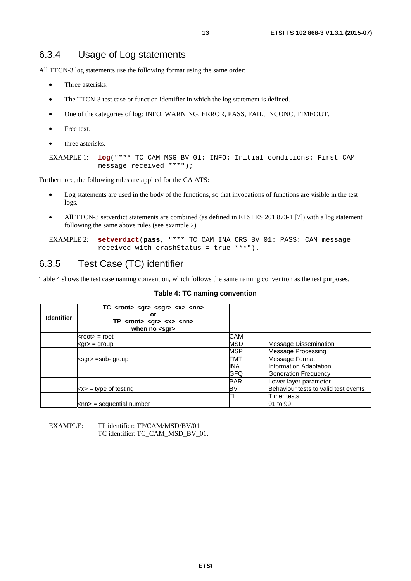### <span id="page-12-0"></span>6.3.4 Usage of Log statements

All TTCN-3 log statements use the following format using the same order:

- Three asterisks.
- The TTCN-3 test case or function identifier in which the log statement is defined.
- One of the categories of log: INFO, WARNING, ERROR, PASS, FAIL, INCONC, TIMEOUT.
- Free text.
- three asterisks.

```
EXAMPLE 1: log("*** TC_CAM_MSG_BV_01: INFO: Initial conditions: First CAM 
            message received ***");
```
Furthermore, the following rules are applied for the CA ATS:

- Log statements are used in the body of the functions, so that invocations of functions are visible in the test logs.
- All TTCN-3 setverdict statements are combined (as defined in ETSI ES 201 873-1 [[7\]](#page-5-0)) with a log statement following the same above rules (see example 2).

EXAMPLE 2: **setverdict**(**pass**, "\*\*\* TC\_CAM\_INA\_CRS\_BV\_01: PASS: CAM message received with crashStatus = true \*\*\*").

### 6.3.5 Test Case (TC) identifier

Table 4 shows the test case naming convention, which follows the same naming convention as the test purposes.

#### **Table 4: TC naming convention**

| <b>Identifier</b> | TC_ <root>_<gr>_<sgr>_<x>_<nn><br/>or<br/>TP_<root>_<gr>_<x>_<nn><br/>when no <math>&lt;</math>sgr<math>&gt;</math></nn></x></gr></root></nn></x></sgr></gr></root> |            |                                      |
|-------------------|---------------------------------------------------------------------------------------------------------------------------------------------------------------------|------------|--------------------------------------|
|                   | $<$ root $>$ = root                                                                                                                                                 | CAM        |                                      |
|                   | $<$ gr $>$ = group                                                                                                                                                  | MSD        | Message Dissemination                |
|                   |                                                                                                                                                                     | <b>MSP</b> | Message Processing                   |
|                   | $\leq$ sgr $>$ =sub-group                                                                                                                                           | FMT        | Message Format                       |
|                   |                                                                                                                                                                     | INA        | Information Adaptation               |
|                   |                                                                                                                                                                     | GFQ        | <b>Generation Frequency</b>          |
|                   |                                                                                                                                                                     | <b>PAR</b> | Lower layer parameter                |
|                   | $\langle x \rangle$ = type of testing                                                                                                                               | BV         | Behaviour tests to valid test events |
|                   |                                                                                                                                                                     |            | Timer tests                          |
|                   | $km$ = sequential number                                                                                                                                            |            | 01 to 99                             |

#### EXAMPLE: TP identifier: TP/CAM/MSD/BV/01 TC identifier: TC\_CAM\_MSD\_BV\_01.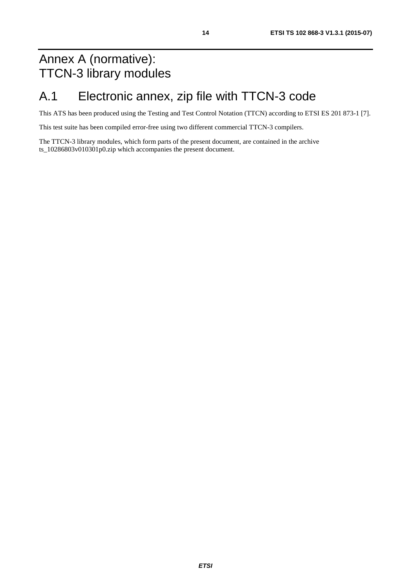## <span id="page-13-0"></span>Annex A (normative): TTCN-3 library modules

## A.1 Electronic annex, zip file with TTCN-3 code

This ATS has been produced using the Testing and Test Control Notation (TTCN) according to ETSI ES 201 873-1 [\[7\]](#page-5-0).

This test suite has been compiled error-free using two different commercial TTCN-3 compilers.

The TTCN-3 library modules, which form parts of the present document, are contained in the archive ts 10286803v010301p0.zip which accompanies the present document.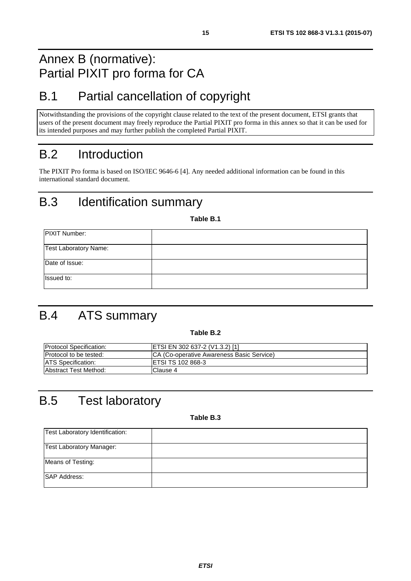## <span id="page-14-0"></span>Annex B (normative): Partial PIXIT pro forma for CA

## B.1 Partial cancellation of copyright

Notwithstanding the provisions of the copyright clause related to the text of the present document, ETSI grants that users of the present document may freely reproduce the Partial PIXIT pro forma in this annex so that it can be used for its intended purposes and may further publish the completed Partial PIXIT.

## B.2 Introduction

The PIXIT Pro forma is based on ISO/IEC 9646-6 [\[4](#page-5-0)]. Any needed additional information can be found in this international standard document.

## B.3 Identification summary

**Table B.1** 

| <b>PIXIT Number:</b>         |  |
|------------------------------|--|
| <b>Test Laboratory Name:</b> |  |
| Date of Issue:               |  |
| Issued to:                   |  |

## B.4 ATS summary

**Table B.2** 

| <b>Protocol Specification:</b> | ETSI EN 302 637-2 (V1.3.2) [1]             |
|--------------------------------|--------------------------------------------|
| Protocol to be tested:         | ICA (Co-operative Awareness Basic Service) |
| <b>ATS Specification:</b>      | IETSI TS 102 868-3                         |
| Abstract Test Method:          | Clause 4                                   |

## B.5 Test laboratory

**Table B.3** 

| Test Laboratory Identification: |  |
|---------------------------------|--|
| <b>Test Laboratory Manager:</b> |  |
| Means of Testing:               |  |
| <b>SAP Address:</b>             |  |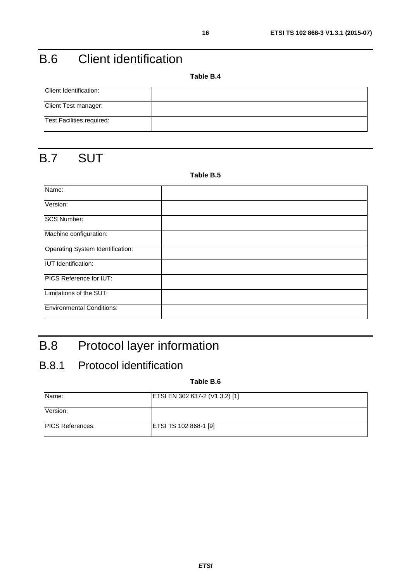## <span id="page-15-0"></span>B.6 Client identification

**Table B.4** 

| Client Identification:    |  |
|---------------------------|--|
| Client Test manager:      |  |
| Test Facilities required: |  |

## B.7 SUT

#### **Table B.5**

| Name:                            |  |
|----------------------------------|--|
| Version:                         |  |
| <b>SCS Number:</b>               |  |
| Machine configuration:           |  |
| Operating System Identification: |  |
| <b>IUT</b> Identification:       |  |
| PICS Reference for IUT:          |  |
| Limitations of the SUT:          |  |
| <b>Environmental Conditions:</b> |  |

## B.8 Protocol layer information

### B.8.1 Protocol identification

#### **Table B.6**

| Name:                   | ETSI EN 302 637-2 (V1.3.2) [1] |
|-------------------------|--------------------------------|
| Version:                |                                |
| <b>PICS References:</b> | ETSI TS 102 868-1 [9]          |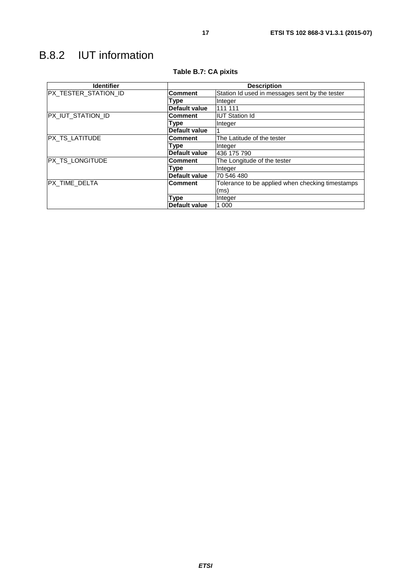<span id="page-16-0"></span>

| <b>Identifier</b>    | <b>Description</b>   |                                                  |  |
|----------------------|----------------------|--------------------------------------------------|--|
| PX_TESTER_STATION_ID | <b>Comment</b>       | Station Id used in messages sent by the tester   |  |
|                      | Type                 | Integer                                          |  |
|                      | Default value        | 111 111                                          |  |
| PX_IUT_STATION_ID    | <b>Comment</b>       | <b>IUT Station Id</b>                            |  |
|                      | Type                 | Integer                                          |  |
|                      | <b>Default value</b> |                                                  |  |
| PX_TS_LATITUDE       | <b>Comment</b>       | The Latitude of the tester                       |  |
|                      | Type                 | Integer                                          |  |
|                      | <b>Default value</b> | 436 175 790                                      |  |
| PX_TS_LONGITUDE      | <b>Comment</b>       | The Longitude of the tester                      |  |
|                      | Type                 | Integer                                          |  |
|                      | Default value        | 70 546 480                                       |  |
| PX_TIME_DELTA        | <b>Comment</b>       | Tolerance to be applied when checking timestamps |  |
|                      |                      | (ms)                                             |  |
|                      | Type                 | Integer                                          |  |
|                      | Default value        | 1 000                                            |  |

#### **Table B.7: CA pixits**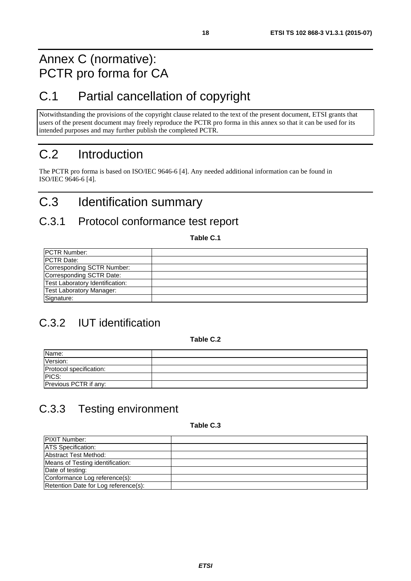### <span id="page-17-0"></span>Annex C (normative): PCTR pro forma for CA

## C.1 Partial cancellation of copyright

Notwithstanding the provisions of the copyright clause related to the text of the present document, ETSI grants that users of the present document may freely reproduce the PCTR pro forma in this annex so that it can be used for its intended purposes and may further publish the completed PCTR.

## C.2 Introduction

The PCTR pro forma is based on ISO/IEC 9646-6 [[4\]](#page-5-0). Any needed additional information can be found in ISO/IEC 9646-6 [[4](#page-5-0)].

## C.3 Identification summary

### C.3.1 Protocol conformance test report

**Table C.1** 

| <b>PCTR Number:</b>             |  |
|---------------------------------|--|
| <b>PCTR Date:</b>               |  |
| Corresponding SCTR Number:      |  |
| Corresponding SCTR Date:        |  |
| Test Laboratory Identification: |  |
| Test Laboratory Manager:        |  |
| Signature:                      |  |

### C.3.2 IUT identification

**Table C.2** 

| Name:                   |  |
|-------------------------|--|
| Version:                |  |
| Protocol specification: |  |
| PICS:                   |  |
| Previous PCTR if any:   |  |

## C.3.3 Testing environment

#### **Table C.3**

| <b>PIXIT Number:</b>                 |  |
|--------------------------------------|--|
| <b>ATS</b> Specification:            |  |
| Abstract Test Method:                |  |
| Means of Testing identification:     |  |
| Date of testing:                     |  |
| Conformance Log reference(s):        |  |
| Retention Date for Log reference(s): |  |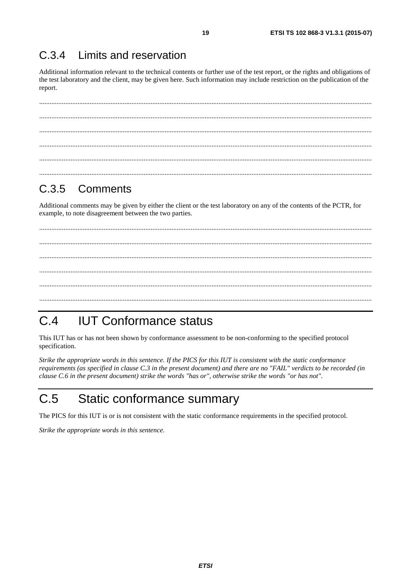#### <span id="page-18-0"></span> $C.3.4$ Limits and reservation

Additional information relevant to the technical contents or further use of the test report, or the rights and obligations of the test laboratory and the client, may be given here. Such information may include restriction on the publication of the report.

19

#### $C.3.5$ Comments

Additional comments may be given by either the client or the test laboratory on any of the contents of the PCTR, for example, to note disagreement between the two parties.

#### **IUT Conformance status**  $C.4$

This IUT has or has not been shown by conformance assessment to be non-conforming to the specified protocol specification.

Strike the appropriate words in this sentence. If the PICS for this IUT is consistent with the static conformance requirements (as specified in clause C.3 in the present document) and there are no "FAIL" verdicts to be recorded (in clause C.6 in the present document) strike the words "has or", otherwise strike the words "or has not".

#### $C.5$ Static conformance summary

The PICS for this IUT is or is not consistent with the static conformance requirements in the specified protocol.

Strike the appropriate words in this sentence.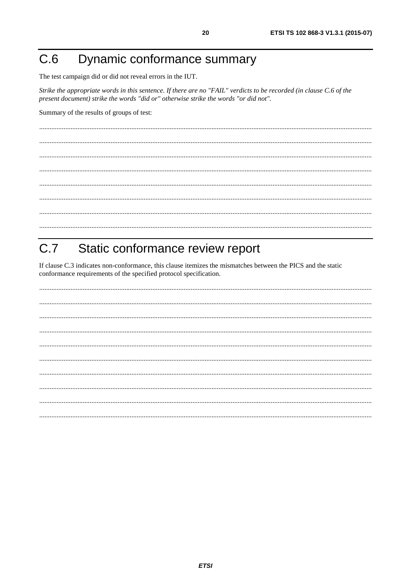#### <span id="page-19-0"></span>Dynamic conformance summary  $C.6$

The test campaign did or did not reveal errors in the IUT.

Strike the appropriate words in this sentence. If there are no "FAIL" verdicts to be recorded (in clause C.6 of the present document) strike the words "did or" otherwise strike the words "or did not".

Summary of the results of groups of test:

#### $C.7$ Static conformance review report

If clause C.3 indicates non-conformance, this clause itemizes the mismatches between the PICS and the static conformance requirements of the specified protocol specification.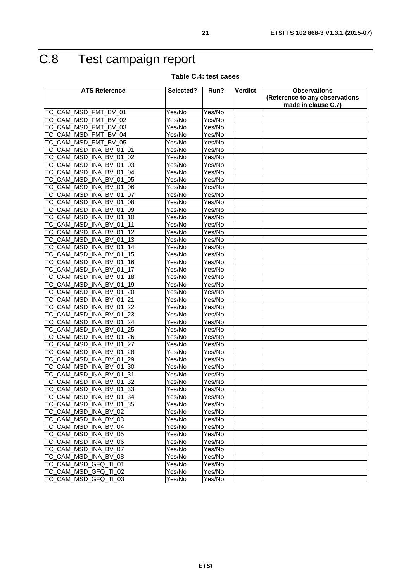## <span id="page-20-0"></span>C.8 Test campaign report

**Table C.4: test cases** 

| <b>ATS Reference</b>                              | Selected? | Run?                 | Verdict | <b>Observations</b>                                   |
|---------------------------------------------------|-----------|----------------------|---------|-------------------------------------------------------|
|                                                   |           |                      |         | (Reference to any observations<br>made in clause C.7) |
| TC_CAM_MSD_FMT<br>BV 01                           | Yes/No    | Yes/No               |         |                                                       |
| TC_CAM_MSD_FMT<br><b>BV 02</b>                    | Yes/No    | Yes/No               |         |                                                       |
| TC_CAM_MSD_FMT<br>BV 03                           | Yes/No    | Yes/No               |         |                                                       |
| TC CAM MSD FMT<br><b>BV 04</b>                    | Yes/No    | Yes/No               |         |                                                       |
| TC_CAM_MSD_FMT<br><b>BV 05</b>                    | Yes/No    | Yes/No               |         |                                                       |
| TC_CAM_MSD_INA_BV_01_01                           | Yes/No    | Yes/No               |         |                                                       |
| CAM MSD INA<br><b>BV</b><br>01<br>02<br>ТC        | Yes/No    | Yes/No               |         |                                                       |
| TC_CAM_MSD<br>BV 01<br><b>INA</b><br>03           | Yes/No    | Yes/No               |         |                                                       |
| TC_CAM_MSD_INA<br><b>BV 01</b><br>04              | Yes/No    | Yes/No               |         |                                                       |
| TC_CAM_MSD_INA_BV_01<br>05                        | Yes/No    | Yes/No               |         |                                                       |
| TC_CAM_MSD<br><b>INA</b><br><b>BV</b><br>01<br>06 | Yes/No    | Yes/No               |         |                                                       |
| TC_CAM_MSD_INA<br><b>BV</b><br>01<br>07           | Yes/No    | Yes/No               |         |                                                       |
| TC_CAM_MSD_INA_BV_01<br>08                        | Yes/No    | Yes/No               |         |                                                       |
| TC_CAM_MSD_INA<br><b>BV</b><br>01<br>09           | Yes/No    | $\overline{Yes}$ /No |         |                                                       |
| TC_CAM_MSD_INA_BV_01<br>10                        | Yes/No    | Yes/No               |         |                                                       |
| TC CAM MSD INA BV 01<br>11                        | Yes/No    | Yes/No               |         |                                                       |
| TC CAM MSD INA<br><b>BV</b><br>12<br>01           | Yes/No    | Yes/No               |         |                                                       |
| TC_CAM_MSD_INA_BV_01<br>13                        | Yes/No    | Yes/No               |         |                                                       |
| TC_CAM_MSD<br><b>INA</b><br>BV_01<br>14           | Yes/No    | Yes/No               |         |                                                       |
| TC_CAM_MSD<br>_INA<br><b>BV</b><br>01<br>15       | Yes/No    | Yes/No               |         |                                                       |
| TC CAM MSD INA BV 01<br>16                        | Yes/No    | Yes/No               |         |                                                       |
| TC_CAM_MSD_INA_BV_01<br>17                        | Yes/No    | Yes/No               |         |                                                       |
| TC_CAM_MSD_INA_BV_01_18                           | Yes/No    | Yes/No               |         |                                                       |
| <b>TC CAM MSD</b><br><b>INA</b><br>BV 01<br>19    | Yes/No    | Yes/No               |         |                                                       |
| TC_CAM_MSD_INA_BV<br>01<br>20                     | Yes/No    | Yes/No               |         |                                                       |
| TC_CAM_MSD_INA_BV<br>01<br>21                     | Yes/No    | Yes/No               |         |                                                       |
| TC_CAM_MSD_INA_BV_01<br>22                        | Yes/No    | Yes/No               |         |                                                       |
| TC_CAM_MSD_INA_BV_01<br>23                        | Yes/No    | Yes/No               |         |                                                       |
| TC_CAM_MSD<br>BV 01<br>24<br><b>INA</b>           | Yes/No    | Yes/No               |         |                                                       |
| TC_CAM_MSD_INA<br><b>BV</b><br>01<br>25           | Yes/No    | Yes/No               |         |                                                       |
| TC_CAM_MSD_INA_BV<br>01<br>26                     | Yes/No    | Yes/No               |         |                                                       |
| TC_CAM_MSD<br><b>INA</b><br><b>BV</b><br>01<br>27 | Yes/No    | Yes/No               |         |                                                       |
| CAM MSD INA<br><b>BV</b><br>28<br>01<br>ТC        | Yes/No    | Yes/No               |         |                                                       |
| TC_CAM_MSD_INA_BV_01<br>29                        | Yes/No    | Yes/No               |         |                                                       |
| TC_CAM_MSD<br><b>INA</b><br><b>BV</b><br>01<br>30 | Yes/No    | Yes/No               |         |                                                       |
| TC_CAM_MSD_INA_BV_01<br>31                        | Yes/No    | Yes/No               |         |                                                       |
| TC CAM MSD INA BV 01<br>32                        | Yes/No    | Yes/No               |         |                                                       |
| TC_CAM_MSD_INA_BV_01_33                           | Yes/No    | Yes/No               |         |                                                       |
| TC_CAM_MSD_INA_BV_01_34                           | Yes/No    | Yes/No               |         |                                                       |
| TC_CAM_MSD_INA_BV_01_35                           | Yes/No    | Yes/No               |         |                                                       |
| TC_CAM_MSD_INA_BV_02                              | Yes/No    | Yes/No               |         |                                                       |
| TC_CAM_MSD_INA_BV_03                              | Yes/No    | Yes/No               |         |                                                       |
| TC CAM MSD INA BV 04                              | Yes/No    | Yes/No               |         |                                                       |
| TC_CAM_MSD_INA_BV_05                              | Yes/No    | Yes/No               |         |                                                       |
| TC_CAM_MSD_INA_BV_06                              | Yes/No    | Yes/No               |         |                                                       |
| TC_CAM_MSD_INA_BV_07                              | Yes/No    | Yes/No               |         |                                                       |
| TC_CAM_MSD_INA_BV_08                              | Yes/No    | Yes/No               |         |                                                       |
| TC_CAM_MSD_GFQ_TI_01                              | Yes/No    | Yes/No               |         |                                                       |
| TC_CAM_MSD_GFQ_TI_02                              | Yes/No    | Yes/No               |         |                                                       |
| TC_CAM_MSD_GFQ_TI_03                              | Yes/No    | Yes/No               |         |                                                       |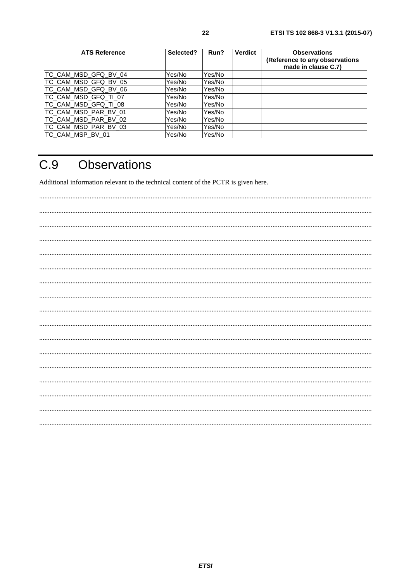<span id="page-21-0"></span>

| <b>ATS Reference</b> | Selected? | Run?   | <b>Verdict</b> | <b>Observations</b><br>(Reference to any observations<br>made in clause C.7) |
|----------------------|-----------|--------|----------------|------------------------------------------------------------------------------|
| TC_CAM_MSD_GFQ_BV_04 | Yes/No    | Yes/No |                |                                                                              |
| TC_CAM_MSD_GFQ_BV_05 | Yes/No    | Yes/No |                |                                                                              |
| TC_CAM_MSD_GFQ_BV_06 | Yes/No    | Yes/No |                |                                                                              |
| TC_CAM_MSD_GFQ_TI_07 | Yes/No    | Yes/No |                |                                                                              |
| TC_CAM_MSD_GFQ_TI_08 | Yes/No    | Yes/No |                |                                                                              |
| TC_CAM_MSD_PAR_BV_01 | Yes/No    | Yes/No |                |                                                                              |
| TC_CAM_MSD_PAR_BV_02 | Yes/No    | Yes/No |                |                                                                              |
| TC_CAM_MSD_PAR_BV_03 | Yes/No    | Yes/No |                |                                                                              |
| ITC CAM MSP BV 01    | Yes/No    | Yes/No |                |                                                                              |

#### $C.9$ Observations

Additional information relevant to the technical content of the PCTR is given here.